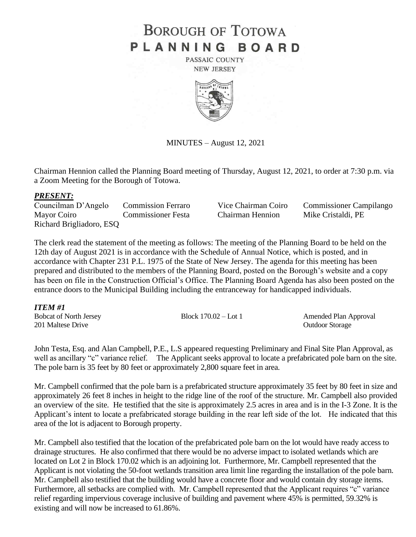# **BOROUGH OF TOTOWA** PLANNING BOARD

PASSAIC COUNTY **NEW JERSEY** 



MINUTES – August 12, 2021

Chairman Hennion called the Planning Board meeting of Thursday, August 12, 2021, to order at 7:30 p.m. via a Zoom Meeting for the Borough of Totowa.

#### *PRESENT:*

Councilman D'Angelo Commission Ferraro Vice Chairman Coiro Commissioner Campilango Mayor Coiro Commissioner Festa Chairman Hennion Mike Cristaldi, PE Richard Brigliadoro, ESQ

The clerk read the statement of the meeting as follows: The meeting of the Planning Board to be held on the 12th day of August 2021 is in accordance with the Schedule of Annual Notice, which is posted, and in accordance with Chapter 231 P.L. 1975 of the State of New Jersey. The agenda for this meeting has been prepared and distributed to the members of the Planning Board, posted on the Borough's website and a copy has been on file in the Construction Official's Office. The Planning Board Agenda has also been posted on the entrance doors to the Municipal Building including the entranceway for handicapped individuals.

| ITEM #1                       |                        |                        |
|-------------------------------|------------------------|------------------------|
| <b>Bobcat of North Jersey</b> | Block $170.02 -$ Lot 1 | Amended Plan Approval  |
| 201 Maltese Drive             |                        | <b>Outdoor Storage</b> |

John Testa, Esq. and Alan Campbell, P.E., L.S appeared requesting Preliminary and Final Site Plan Approval, as well as ancillary "c" variance relief. The Applicant seeks approval to locate a prefabricated pole barn on the site. The pole barn is 35 feet by 80 feet or approximately 2,800 square feet in area.

Mr. Campbell confirmed that the pole barn is a prefabricated structure approximately 35 feet by 80 feet in size and approximately 26 feet 8 inches in height to the ridge line of the roof of the structure. Mr. Campbell also provided an overview of the site. He testified that the site is approximately 2.5 acres in area and is in the I-3 Zone. It is the Applicant's intent to locate a prefabricated storage building in the rear left side of the lot. He indicated that this area of the lot is adjacent to Borough property.

Mr. Campbell also testified that the location of the prefabricated pole barn on the lot would have ready access to drainage structures. He also confirmed that there would be no adverse impact to isolated wetlands which are located on Lot 2 in Block 170.02 which is an adjoining lot. Furthermore, Mr. Campbell represented that the Applicant is not violating the 50-foot wetlands transition area limit line regarding the installation of the pole barn. Mr. Campbell also testified that the building would have a concrete floor and would contain dry storage items. Furthermore, all setbacks are complied with. Mr. Campbell represented that the Applicant requires "c" variance relief regarding impervious coverage inclusive of building and pavement where 45% is permitted, 59.32% is existing and will now be increased to 61.86%.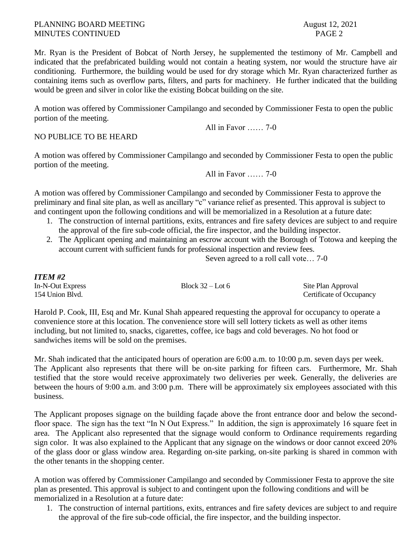## PLANNING BOARD MEETING August 12, 2021 MINUTES CONTINUED PAGE 2

Mr. Ryan is the President of Bobcat of North Jersey, he supplemented the testimony of Mr. Campbell and indicated that the prefabricated building would not contain a heating system, nor would the structure have air conditioning. Furthermore, the building would be used for dry storage which Mr. Ryan characterized further as containing items such as overflow parts, filters, and parts for machinery. He further indicated that the building would be green and silver in color like the existing Bobcat building on the site.

A motion was offered by Commissioner Campilango and seconded by Commissioner Festa to open the public portion of the meeting.

All in Favor …… 7-0

## NO PUBLICE TO BE HEARD

A motion was offered by Commissioner Campilango and seconded by Commissioner Festa to open the public portion of the meeting.

All in Favor …… 7-0

A motion was offered by Commissioner Campilango and seconded by Commissioner Festa to approve the preliminary and final site plan, as well as ancillary "c" variance relief as presented. This approval is subject to and contingent upon the following conditions and will be memorialized in a Resolution at a future date:

- 1. The construction of internal partitions, exits, entrances and fire safety devices are subject to and require the approval of the fire sub-code official, the fire inspector, and the building inspector.
- 2. The Applicant opening and maintaining an escrow account with the Borough of Totowa and keeping the account current with sufficient funds for professional inspection and review fees.

Seven agreed to a roll call vote… 7-0

| <b>ITEM #2</b>   |                    |                          |
|------------------|--------------------|--------------------------|
| In-N-Out Express | Block $32 -$ Lot 6 | Site Plan Approval       |
| 154 Union Blvd.  |                    | Certificate of Occupancy |

Harold P. Cook, III, Esq and Mr. Kunal Shah appeared requesting the approval for occupancy to operate a convenience store at this location. The convenience store will sell lottery tickets as well as other items including, but not limited to, snacks, cigarettes, coffee, ice bags and cold beverages. No hot food or sandwiches items will be sold on the premises.

Mr. Shah indicated that the anticipated hours of operation are 6:00 a.m. to 10:00 p.m. seven days per week. The Applicant also represents that there will be on-site parking for fifteen cars. Furthermore, Mr. Shah testified that the store would receive approximately two deliveries per week. Generally, the deliveries are between the hours of 9:00 a.m. and 3:00 p.m. There will be approximately six employees associated with this business.

The Applicant proposes signage on the building façade above the front entrance door and below the secondfloor space. The sign has the text "In N Out Express." In addition, the sign is approximately 16 square feet in area. The Applicant also represented that the signage would conform to Ordinance requirements regarding sign color. It was also explained to the Applicant that any signage on the windows or door cannot exceed 20% of the glass door or glass window area. Regarding on-site parking, on-site parking is shared in common with the other tenants in the shopping center.

A motion was offered by Commissioner Campilango and seconded by Commissioner Festa to approve the site plan as presented. This approval is subject to and contingent upon the following conditions and will be memorialized in a Resolution at a future date:

1. The construction of internal partitions, exits, entrances and fire safety devices are subject to and require the approval of the fire sub-code official, the fire inspector, and the building inspector.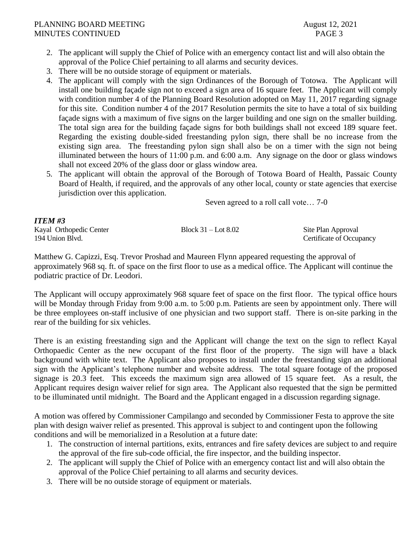## PLANNING BOARD MEETING August 12, 2021 MINUTES CONTINUED PAGE 3

- 2. The applicant will supply the Chief of Police with an emergency contact list and will also obtain the approval of the Police Chief pertaining to all alarms and security devices.
- 3. There will be no outside storage of equipment or materials.
- 4. The applicant will comply with the sign Ordinances of the Borough of Totowa. The Applicant will install one building façade sign not to exceed a sign area of 16 square feet. The Applicant will comply with condition number 4 of the Planning Board Resolution adopted on May 11, 2017 regarding signage for this site. Condition number 4 of the 2017 Resolution permits the site to have a total of six building façade signs with a maximum of five signs on the larger building and one sign on the smaller building. The total sign area for the building façade signs for both buildings shall not exceed 189 square feet. Regarding the existing double-sided freestanding pylon sign, there shall be no increase from the existing sign area. The freestanding pylon sign shall also be on a timer with the sign not being illuminated between the hours of 11:00 p.m. and 6:00 a.m. Any signage on the door or glass windows shall not exceed 20% of the glass door or glass window area.
- 5. The applicant will obtain the approval of the Borough of Totowa Board of Health, Passaic County Board of Health, if required, and the approvals of any other local, county or state agencies that exercise jurisdiction over this application.

Seven agreed to a roll call vote… 7-0

| <b>ITEM #3</b>          |                         |                          |
|-------------------------|-------------------------|--------------------------|
| Kayal Orthopedic Center | Block $31 -$ Lot $8.02$ | Site Plan Approval       |
| 194 Union Blvd.         |                         | Certificate of Occupancy |

Matthew G. Capizzi, Esq. Trevor Proshad and Maureen Flynn appeared requesting the approval of approximately 968 sq. ft. of space on the first floor to use as a medical office. The Applicant will continue the podiatric practice of Dr. Leodori.

The Applicant will occupy approximately 968 square feet of space on the first floor. The typical office hours will be Monday through Friday from 9:00 a.m. to 5:00 p.m. Patients are seen by appointment only. There will be three employees on-staff inclusive of one physician and two support staff. There is on-site parking in the rear of the building for six vehicles.

There is an existing freestanding sign and the Applicant will change the text on the sign to reflect Kayal Orthopaedic Center as the new occupant of the first floor of the property. The sign will have a black background with white text. The Applicant also proposes to install under the freestanding sign an additional sign with the Applicant's telephone number and website address. The total square footage of the proposed signage is 20.3 feet. This exceeds the maximum sign area allowed of 15 square feet. As a result, the Applicant requires design waiver relief for sign area. The Applicant also requested that the sign be permitted to be illuminated until midnight. The Board and the Applicant engaged in a discussion regarding signage.

A motion was offered by Commissioner Campilango and seconded by Commissioner Festa to approve the site plan with design waiver relief as presented. This approval is subject to and contingent upon the following conditions and will be memorialized in a Resolution at a future date:

- 1. The construction of internal partitions, exits, entrances and fire safety devices are subject to and require the approval of the fire sub-code official, the fire inspector, and the building inspector.
- 2. The applicant will supply the Chief of Police with an emergency contact list and will also obtain the approval of the Police Chief pertaining to all alarms and security devices.
- 3. There will be no outside storage of equipment or materials.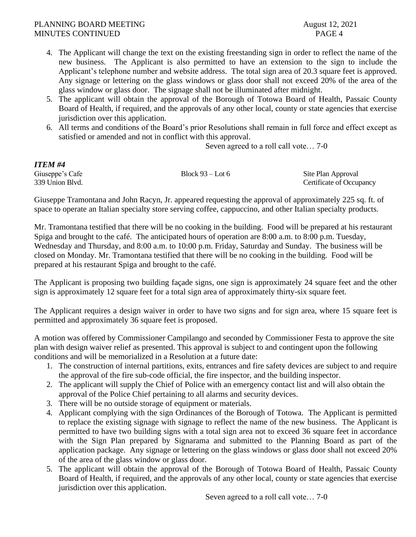- 4. The Applicant will change the text on the existing freestanding sign in order to reflect the name of the new business. The Applicant is also permitted to have an extension to the sign to include the Applicant's telephone number and website address. The total sign area of 20.3 square feet is approved. Any signage or lettering on the glass windows or glass door shall not exceed 20% of the area of the glass window or glass door. The signage shall not be illuminated after midnight.
- 5. The applicant will obtain the approval of the Borough of Totowa Board of Health, Passaic County Board of Health, if required, and the approvals of any other local, county or state agencies that exercise jurisdiction over this application.
- 6. All terms and conditions of the Board's prior Resolutions shall remain in full force and effect except as satisfied or amended and not in conflict with this approval.

Seven agreed to a roll call vote… 7-0

| ITEM #4         |                    |                          |
|-----------------|--------------------|--------------------------|
| Giuseppe's Cafe | Block $93 -$ Lot 6 | Site Plan Approval       |
| 339 Union Blvd. |                    | Certificate of Occupancy |

Giuseppe Tramontana and John Racyn, Jr. appeared requesting the approval of approximately 225 sq. ft. of space to operate an Italian specialty store serving coffee, cappuccino, and other Italian specialty products.

Mr. Tramontana testified that there will be no cooking in the building. Food will be prepared at his restaurant Spiga and brought to the café. The anticipated hours of operation are 8:00 a.m. to 8:00 p.m. Tuesday, Wednesday and Thursday, and 8:00 a.m. to 10:00 p.m. Friday, Saturday and Sunday. The business will be closed on Monday. Mr. Tramontana testified that there will be no cooking in the building. Food will be prepared at his restaurant Spiga and brought to the café.

The Applicant is proposing two building façade signs, one sign is approximately 24 square feet and the other sign is approximately 12 square feet for a total sign area of approximately thirty-six square feet.

The Applicant requires a design waiver in order to have two signs and for sign area, where 15 square feet is permitted and approximately 36 square feet is proposed.

A motion was offered by Commissioner Campilango and seconded by Commissioner Festa to approve the site plan with design waiver relief as presented. This approval is subject to and contingent upon the following conditions and will be memorialized in a Resolution at a future date:

- 1. The construction of internal partitions, exits, entrances and fire safety devices are subject to and require the approval of the fire sub-code official, the fire inspector, and the building inspector.
- 2. The applicant will supply the Chief of Police with an emergency contact list and will also obtain the approval of the Police Chief pertaining to all alarms and security devices.
- 3. There will be no outside storage of equipment or materials.
- 4. Applicant complying with the sign Ordinances of the Borough of Totowa. The Applicant is permitted to replace the existing signage with signage to reflect the name of the new business. The Applicant is permitted to have two building signs with a total sign area not to exceed 36 square feet in accordance with the Sign Plan prepared by Signarama and submitted to the Planning Board as part of the application package. Any signage or lettering on the glass windows or glass door shall not exceed 20% of the area of the glass window or glass door.
- 5. The applicant will obtain the approval of the Borough of Totowa Board of Health, Passaic County Board of Health, if required, and the approvals of any other local, county or state agencies that exercise jurisdiction over this application.

Seven agreed to a roll call vote… 7-0